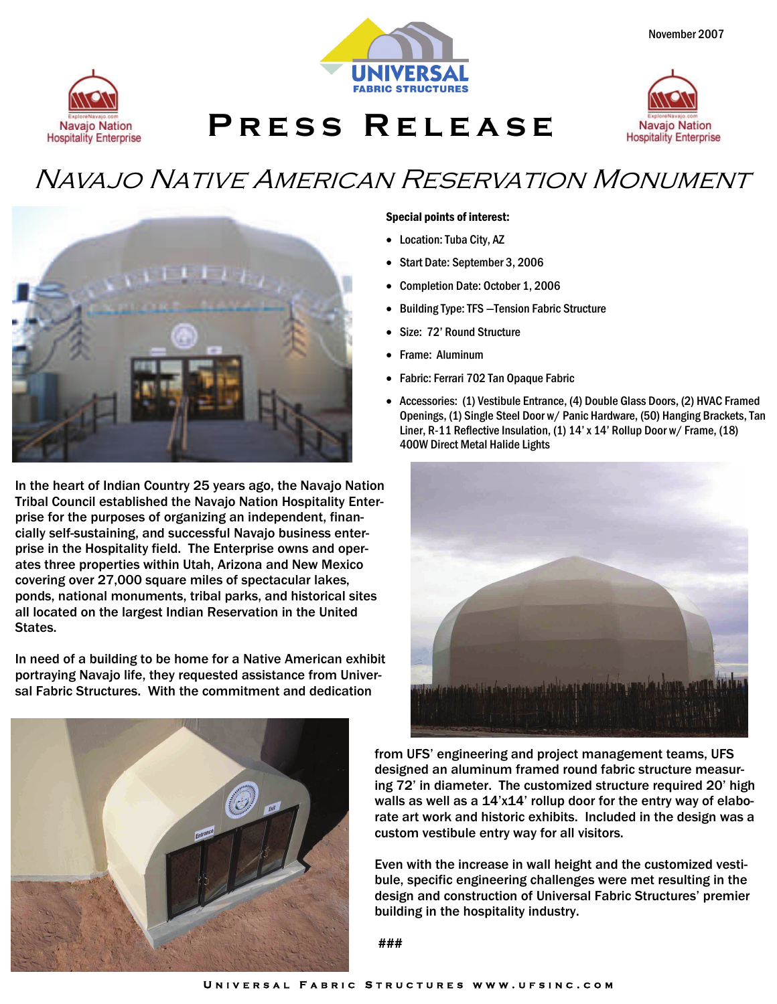



**Press Release** 



## Navajo Native American Reservation Monument



In the heart of Indian Country 25 years ago, the Navajo Nation Tribal Council established the Navajo Nation Hospitality Enterprise for the purposes of organizing an independent, financially self-sustaining, and successful Navajo business enterprise in the Hospitality field. The Enterprise owns and operates three properties within Utah, Arizona and New Mexico covering over 27,000 square miles of spectacular lakes, ponds, national monuments, tribal parks, and historical sites all located on the largest Indian Reservation in the United States.

In need of a building to be home for a Native American exhibit portraying Navajo life, they requested assistance from Universal Fabric Structures. With the commitment and dedication

#### Special points of interest:

- Location: Tuba City, AZ
- Start Date: September 3, 2006
- Completion Date: October 1, 2006
- Building Type: TFS —Tension Fabric Structure
- Size: 72' Round Structure
- Frame: Aluminum
- Fabric: Ferrari 702 Tan Opaque Fabric
- Accessories: (1) Vestibule Entrance, (4) Double Glass Doors, (2) HVAC Framed Openings, (1) Single Steel Door w/ Panic Hardware, (50) Hanging Brackets, Tan Liner, R-11 Reflective Insulation, (1) 14' x 14' Rollup Door w/ Frame, (18) 400W Direct Metal Halide Lights





from UFS' engineering and project management teams, UFS designed an aluminum framed round fabric structure measuring 72' in diameter. The customized structure required 20' high walls as well as a 14'x14' rollup door for the entry way of elaborate art work and historic exhibits. Included in the design was a custom vestibule entry way for all visitors.

Even with the increase in wall height and the customized vestibule, specific engineering challenges were met resulting in the design and construction of Universal Fabric Structures' premier building in the hospitality industry.

###